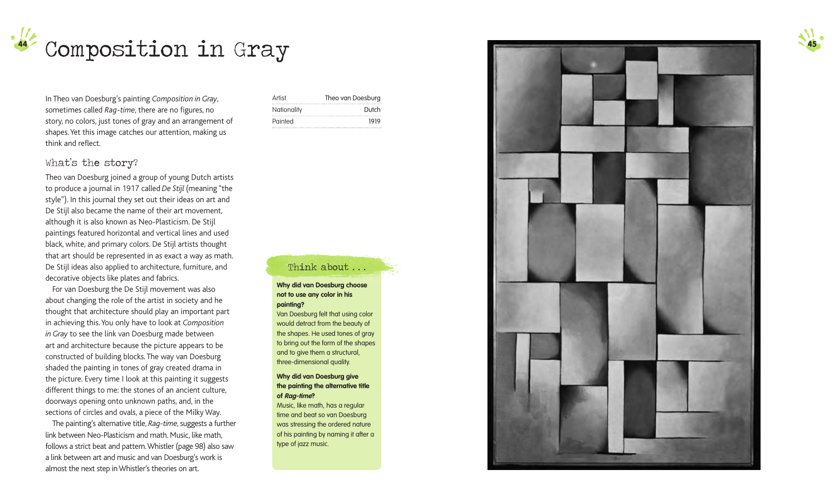

In Theo van Doesburg's painting *Composition in Gray*, sometimes called *Rag-time*, there are no figures, no story, no colors, just tones of gray and an arrangement of shapes. Yet this image catches our attention, making us think and reflect.

# Artist Theo van Doesburg Nationality **Dutch** Painted 1919

## What's the story?

Theo van Doesburg joined a group of young Dutch artists to produce a journal in 1917 called *De Stijl* (meaning "the style"). In this journal they set out their ideas on art and De Stijl also became the name of their art movement, although it is also known as Neo-Plasticism. De Stijl paintings featured horizontal and vertical lines and used black, white, and primary colors. De Stijl artists thought that art should be represented in as exact a way as math. De Stijl ideas also applied to architecture, furniture, and decorative objects like plates and fabrics.

For van Doesburg the De Stijl movement was also about changing the role of the artist in society and he thought that architecture should play an important part in achieving this. You only have to look at *Composition in Gray* to see the link van Doesburg made between art and architecture because the picture appears to be constructed of building blocks. The way van Doesburg shaded the painting in tones of gray created drama in the picture. Every time I look at this painting it suggests different things to me: the stones of an ancient culture, doorways opening onto unknown paths, and, in the sections of circles and ovals, a piece of the Milky Way.

The painting's alternative title, *Rag-time*, suggests a further link between Neo-Plasticism and math. Music, like math, follows a strict beat and pattern. Whistler (page 98) also saw a link between art and music and van Doesburg's work is almost the next step in Whistler's theories on art.

## Think about ...

### **Why did van Doesburg choose not to use any color in his painting?**

Van Doesburg felt that using color would detract from the beauty of the shapes. He used tones of gray to bring out the form of the shapes and to give them a structural, three-dimensional quality.

#### **Why did van Doesburg give the painting the alternative title of Rag-time?**

Music, like math, has a regular time and beat so van Doesburg was stressing the ordered nature of his painting by naming it after a type of jazz music.